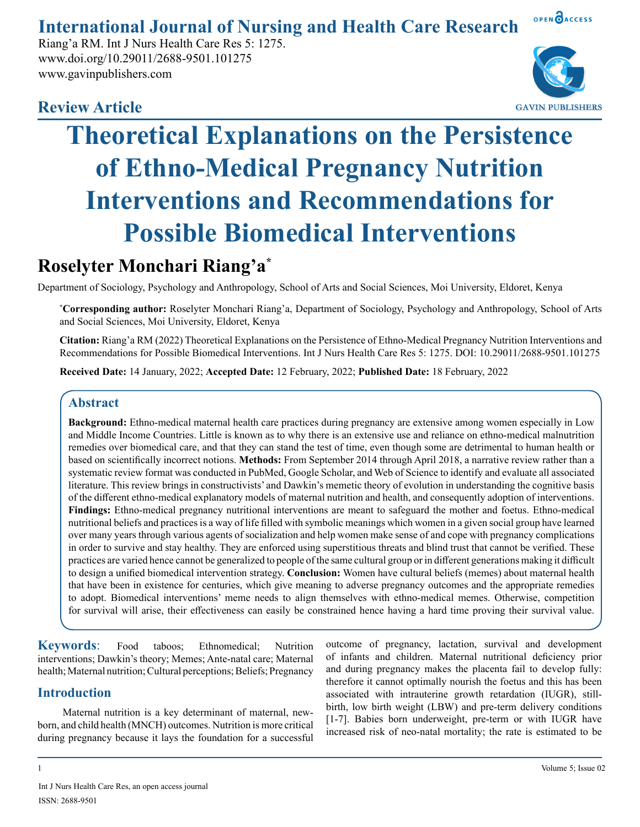# **International Journal of Nursing and Health Care Research**

Riang'a RM. Int J Nurs Health Care Res 5: 1275. www.doi.org/10.29011/2688-9501.101275 www.gavinpublishers.com

# **Review Article**



OPEN OACCESS

# **Theoretical Explanations on the Persistence of Ethno-Medical Pregnancy Nutrition Interventions and Recommendations for Possible Biomedical Interventions**

# **Roselyter Monchari Riang'a\***

Department of Sociology, Psychology and Anthropology, School of Arts and Social Sciences, Moi University, Eldoret, Kenya

**\* Corresponding author:** Roselyter Monchari Riang'a, Department of Sociology, Psychology and Anthropology, School of Arts and Social Sciences, Moi University, Eldoret, Kenya

**Citation:** Riang'a RM (2022) Theoretical Explanations on the Persistence of Ethno-Medical Pregnancy Nutrition Interventions and Recommendations for Possible Biomedical Interventions. Int J Nurs Health Care Res 5: 1275. DOI: 10.29011/2688-9501.101275

**Received Date:** 14 January, 2022; **Accepted Date:** 12 February, 2022; **Published Date:** 18 February, 2022

# **Abstract**

**Background:** Ethno-medical maternal health care practices during pregnancy are extensive among women especially in Low and Middle Income Countries. Little is known as to why there is an extensive use and reliance on ethno-medical malnutrition remedies over biomedical care, and that they can stand the test of time, even though some are detrimental to human health or based on scientifically incorrect notions. **Methods:** From September 2014 through April 2018, a narrative review rather than a systematic review format was conducted in PubMed, Google Scholar, and Web of Science to identify and evaluate all associated literature. This review brings in constructivists' and Dawkin's memetic theory of evolution in understanding the cognitive basis of the different ethno-medical explanatory models of maternal nutrition and health, and consequently adoption of interventions. **Findings:** Ethno-medical pregnancy nutritional interventions are meant to safeguard the mother and foetus. Ethno-medical nutritional beliefs and practices is a way of life filled with symbolic meanings which women in a given social group have learned over many years through various agents of socialization and help women make sense of and cope with pregnancy complications in order to survive and stay healthy. They are enforced using superstitious threats and blind trust that cannot be verified. These practices are varied hence cannot be generalized to people of the same cultural group or in different generations making it difficult to design a unified biomedical intervention strategy. **Conclusion:** Women have cultural beliefs (memes) about maternal health that have been in existence for centuries, which give meaning to adverse pregnancy outcomes and the appropriate remedies to adopt. Biomedical interventions' meme needs to align themselves with ethno-medical memes. Otherwise, competition for survival will arise, their effectiveness can easily be constrained hence having a hard time proving their survival value.

**Keywords**: Food taboos; Ethnomedical; Nutrition interventions; Dawkin's theory; Memes; Ante-natal care; Maternal health; Maternal nutrition; Cultural perceptions; Beliefs; Pregnancy

# **Introduction**

Maternal nutrition is a key determinant of maternal, newborn, and child health (MNCH) outcomes. Nutrition is more critical during pregnancy because it lays the foundation for a successful outcome of pregnancy, lactation, survival and development of infants and children. Maternal nutritional deficiency prior and during pregnancy makes the placenta fail to develop fully: therefore it cannot optimally nourish the foetus and this has been associated with intrauterine growth retardation (IUGR), stillbirth, low birth weight (LBW) and pre-term delivery conditions [1-7]. Babies born underweight, pre-term or with IUGR have increased risk of neo-natal mortality; the rate is estimated to be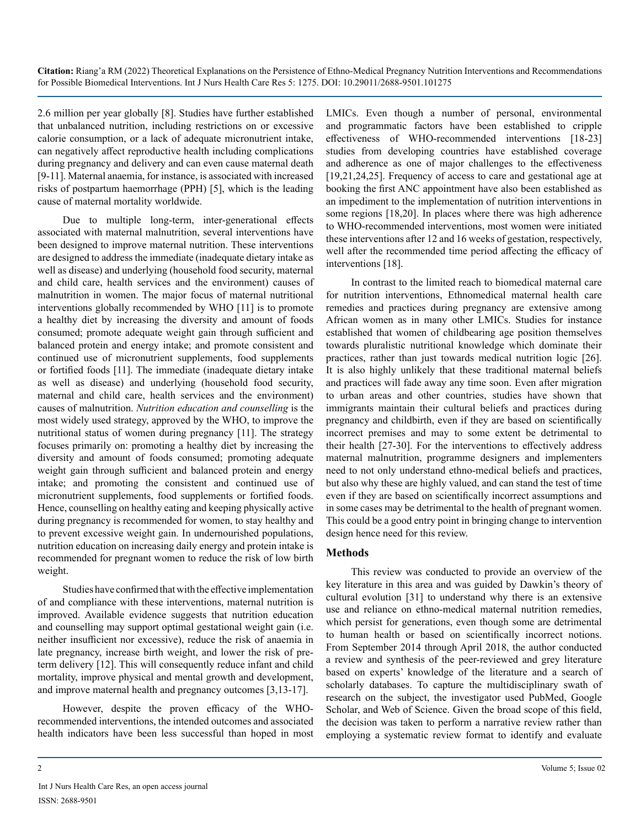2.6 million per year globally [8]. Studies have further established that unbalanced nutrition, including restrictions on or excessive calorie consumption, or a lack of adequate micronutrient intake, can negatively affect reproductive health including complications during pregnancy and delivery and can even cause maternal death [9-11]. Maternal anaemia, for instance, is associated with increased risks of postpartum haemorrhage (PPH) [5], which is the leading cause of maternal mortality worldwide.

Due to multiple long-term, inter-generational effects associated with maternal malnutrition, several interventions have been designed to improve maternal nutrition. These interventions are designed to address the immediate (inadequate dietary intake as well as disease) and underlying (household food security, maternal and child care, health services and the environment) causes of malnutrition in women. The major focus of maternal nutritional interventions globally recommended by WHO [11] is to promote a healthy diet by increasing the diversity and amount of foods consumed; promote adequate weight gain through sufficient and balanced protein and energy intake; and promote consistent and continued use of micronutrient supplements, food supplements or fortified foods [11]. The immediate (inadequate dietary intake as well as disease) and underlying (household food security, maternal and child care, health services and the environment) causes of malnutrition. *Nutrition education and counselling* is the most widely used strategy, approved by the WHO, to improve the nutritional status of women during pregnancy [11]. The strategy focuses primarily on: promoting a healthy diet by increasing the diversity and amount of foods consumed; promoting adequate weight gain through sufficient and balanced protein and energy intake; and promoting the consistent and continued use of micronutrient supplements, food supplements or fortified foods. Hence, counselling on healthy eating and keeping physically active during pregnancy is recommended for women, to stay healthy and to prevent excessive weight gain. In undernourished populations, nutrition education on increasing daily energy and protein intake is recommended for pregnant women to reduce the risk of low birth weight.

Studies have confirmed that with the effective implementation of and compliance with these interventions, maternal nutrition is improved. Available evidence suggests that nutrition education and counselling may support optimal gestational weight gain (i.e. neither insufficient nor excessive), reduce the risk of anaemia in late pregnancy, increase birth weight, and lower the risk of preterm delivery [12]. This will consequently reduce infant and child mortality, improve physical and mental growth and development, and improve maternal health and pregnancy outcomes [3,13-17].

However, despite the proven efficacy of the WHOrecommended interventions, the intended outcomes and associated health indicators have been less successful than hoped in most LMICs. Even though a number of personal, environmental and programmatic factors have been established to cripple effectiveness of WHO-recommended interventions [18-23] studies from developing countries have established coverage and adherence as one of major challenges to the effectiveness [19,21,24,25]. Frequency of access to care and gestational age at booking the first ANC appointment have also been established as an impediment to the implementation of nutrition interventions in some regions [18,20]. In places where there was high adherence to WHO-recommended interventions, most women were initiated these interventions after 12 and 16 weeks of gestation, respectively, well after the recommended time period affecting the efficacy of interventions [18].

In contrast to the limited reach to biomedical maternal care for nutrition interventions, Ethnomedical maternal health care remedies and practices during pregnancy are extensive among African women as in many other LMICs. Studies for instance established that women of childbearing age position themselves towards pluralistic nutritional knowledge which dominate their practices, rather than just towards medical nutrition logic [26]. It is also highly unlikely that these traditional maternal beliefs and practices will fade away any time soon. Even after migration to urban areas and other countries, studies have shown that immigrants maintain their cultural beliefs and practices during pregnancy and childbirth, even if they are based on scientifically incorrect premises and may to some extent be detrimental to their health [27-30]. For the interventions to effectively address maternal malnutrition, programme designers and implementers need to not only understand ethno-medical beliefs and practices, but also why these are highly valued, and can stand the test of time even if they are based on scientifically incorrect assumptions and in some cases may be detrimental to the health of pregnant women. This could be a good entry point in bringing change to intervention design hence need for this review.

#### **Methods**

This review was conducted to provide an overview of the key literature in this area and was guided by Dawkin's theory of cultural evolution [31] to understand why there is an extensive use and reliance on ethno-medical maternal nutrition remedies, which persist for generations, even though some are detrimental to human health or based on scientifically incorrect notions. From September 2014 through April 2018, the author conducted a review and synthesis of the peer-reviewed and grey literature based on experts' knowledge of the literature and a search of scholarly databases. To capture the multidisciplinary swath of research on the subject, the investigator used PubMed, Google Scholar, and Web of Science. Given the broad scope of this field, the decision was taken to perform a narrative review rather than employing a systematic review format to identify and evaluate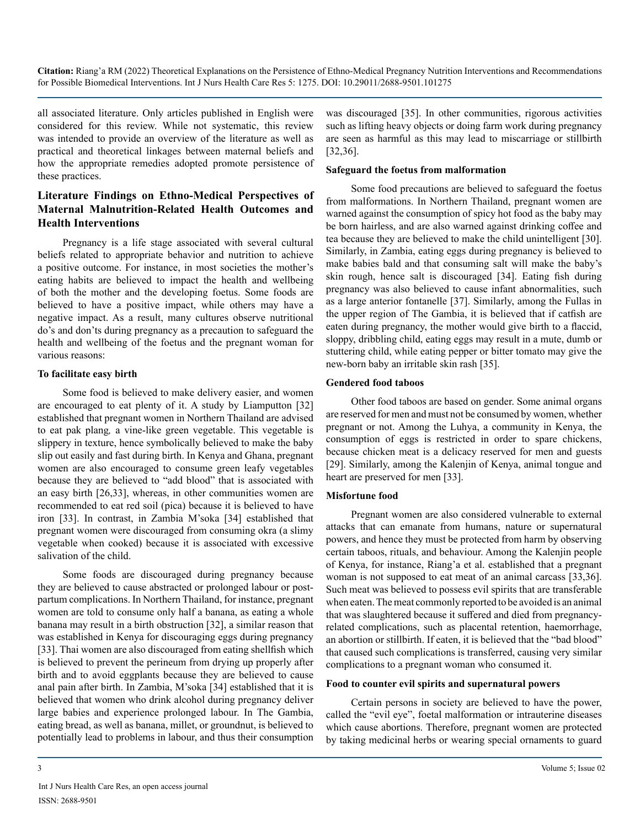all associated literature. Only articles published in English were considered for this review. While not systematic, this review was intended to provide an overview of the literature as well as practical and theoretical linkages between maternal beliefs and how the appropriate remedies adopted promote persistence of these practices.

# **Literature Findings on Ethno-Medical Perspectives of Maternal Malnutrition-Related Health Outcomes and Health Interventions**

Pregnancy is a life stage associated with several cultural beliefs related to appropriate behavior and nutrition to achieve a positive outcome. For instance, in most societies the mother's eating habits are believed to impact the health and wellbeing of both the mother and the developing foetus. Some foods are believed to have a positive impact, while others may have a negative impact. As a result, many cultures observe nutritional do's and don'ts during pregnancy as a precaution to safeguard the health and wellbeing of the foetus and the pregnant woman for various reasons:

#### **To facilitate easy birth**

Some food is believed to make delivery easier, and women are encouraged to eat plenty of it. A study by Liamputton [32] established that pregnant women in Northern Thailand are advised to eat pak plang*,* a vine-like green vegetable. This vegetable is slippery in texture, hence symbolically believed to make the baby slip out easily and fast during birth. In Kenya and Ghana, pregnant women are also encouraged to consume green leafy vegetables because they are believed to "add blood" that is associated with an easy birth [26,33], whereas, in other communities women are recommended to eat red soil (pica) because it is believed to have iron [33]. In contrast, in Zambia M'soka [34] established that pregnant women were discouraged from consuming okra (a slimy vegetable when cooked) because it is associated with excessive salivation of the child.

Some foods are discouraged during pregnancy because they are believed to cause abstracted or prolonged labour or postpartum complications. In Northern Thailand, for instance, pregnant women are told to consume only half a banana, as eating a whole banana may result in a birth obstruction [32], a similar reason that was established in Kenya for discouraging eggs during pregnancy [33]. Thai women are also discouraged from eating shellfish which is believed to prevent the perineum from drying up properly after birth and to avoid eggplants because they are believed to cause anal pain after birth. In Zambia, M'soka [34] established that it is believed that women who drink alcohol during pregnancy deliver large babies and experience prolonged labour. In The Gambia, eating bread, as well as banana, millet, or groundnut, is believed to potentially lead to problems in labour, and thus their consumption

was discouraged [35]. In other communities, rigorous activities such as lifting heavy objects or doing farm work during pregnancy are seen as harmful as this may lead to miscarriage or stillbirth [32,36].

#### **Safeguard the foetus from malformation**

Some food precautions are believed to safeguard the foetus from malformations. In Northern Thailand, pregnant women are warned against the consumption of spicy hot food as the baby may be born hairless, and are also warned against drinking coffee and tea because they are believed to make the child unintelligent [30]. Similarly, in Zambia, eating eggs during pregnancy is believed to make babies bald and that consuming salt will make the baby's skin rough, hence salt is discouraged [34]. Eating fish during pregnancy was also believed to cause infant abnormalities, such as a large anterior fontanelle [37]. Similarly, among the Fullas in the upper region of The Gambia, it is believed that if catfish are eaten during pregnancy, the mother would give birth to a flaccid, sloppy, dribbling child, eating eggs may result in a mute, dumb or stuttering child, while eating pepper or bitter tomato may give the new-born baby an irritable skin rash [35].

#### **Gendered food taboos**

Other food taboos are based on gender. Some animal organs are reserved for men and must not be consumed by women, whether pregnant or not. Among the Luhya, a community in Kenya, the consumption of eggs is restricted in order to spare chickens, because chicken meat is a delicacy reserved for men and guests [29]. Similarly, among the Kalenjin of Kenya, animal tongue and heart are preserved for men [33].

#### **Misfortune food**

Pregnant women are also considered vulnerable to external attacks that can emanate from humans, nature or supernatural powers, and hence they must be protected from harm by observing certain taboos, rituals, and behaviour. Among the Kalenjin people of Kenya, for instance, Riang'a et al. established that a pregnant woman is not supposed to eat meat of an animal carcass [33,36]. Such meat was believed to possess evil spirits that are transferable when eaten. The meat commonly reported to be avoided is an animal that was slaughtered because it suffered and died from pregnancyrelated complications, such as placental retention, haemorrhage, an abortion or stillbirth. If eaten, it is believed that the "bad blood" that caused such complications is transferred, causing very similar complications to a pregnant woman who consumed it.

#### **Food to counter evil spirits and supernatural powers**

Certain persons in society are believed to have the power, called the "evil eye", foetal malformation or intrauterine diseases which cause abortions. Therefore, pregnant women are protected by taking medicinal herbs or wearing special ornaments to guard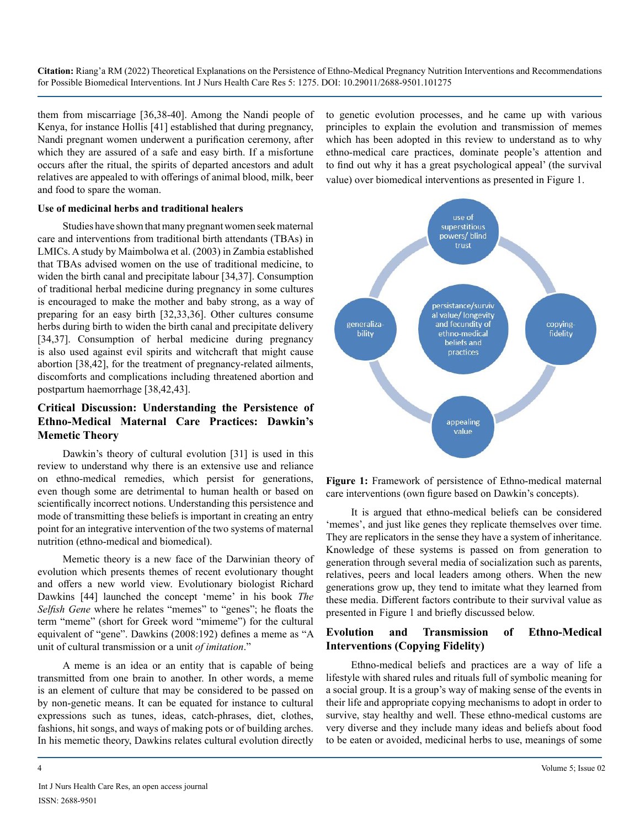them from miscarriage [36,38-40]. Among the Nandi people of Kenya, for instance Hollis [41] established that during pregnancy, Nandi pregnant women underwent a purification ceremony, after which they are assured of a safe and easy birth. If a misfortune occurs after the ritual, the spirits of departed ancestors and adult relatives are appealed to with offerings of animal blood, milk, beer and food to spare the woman.

#### **Use of medicinal herbs and traditional healers**

Studies have shown that many pregnant women seek maternal care and interventions from traditional birth attendants (TBAs) in LMICs. A study by Maimbolwa et al. (2003) in Zambia established that TBAs advised women on the use of traditional medicine, to widen the birth canal and precipitate labour [34,37]. Consumption of traditional herbal medicine during pregnancy in some cultures is encouraged to make the mother and baby strong, as a way of preparing for an easy birth [32,33,36]. Other cultures consume herbs during birth to widen the birth canal and precipitate delivery [34,37]. Consumption of herbal medicine during pregnancy is also used against evil spirits and witchcraft that might cause abortion [38,42], for the treatment of pregnancy-related ailments, discomforts and complications including threatened abortion and postpartum haemorrhage [38,42,43].

# **Critical Discussion: Understanding the Persistence of Ethno-Medical Maternal Care Practices: Dawkin's Memetic Theory**

Dawkin's theory of cultural evolution [31] is used in this review to understand why there is an extensive use and reliance on ethno-medical remedies, which persist for generations, even though some are detrimental to human health or based on scientifically incorrect notions. Understanding this persistence and mode of transmitting these beliefs is important in creating an entry point for an integrative intervention of the two systems of maternal nutrition (ethno-medical and biomedical).

Memetic theory is a new face of the Darwinian theory of evolution which presents themes of recent evolutionary thought and offers a new world view. Evolutionary biologist Richard Dawkins [44] launched the concept 'meme' in his book *The Selfish Gene* where he relates "memes" to "genes"; he floats the term "meme" (short for Greek word "mimeme") for the cultural equivalent of "gene". Dawkins (2008:192) defines a meme as "A unit of cultural transmission or a unit *of imitation*."

A meme is an idea or an entity that is capable of being transmitted from one brain to another. In other words, a meme is an element of culture that may be considered to be passed on by non-genetic means. It can be equated for instance to cultural expressions such as tunes, ideas, catch-phrases, diet, clothes, fashions, hit songs, and ways of making pots or of building arches. In his memetic theory, Dawkins relates cultural evolution directly to genetic evolution processes, and he came up with various principles to explain the evolution and transmission of memes which has been adopted in this review to understand as to why ethno-medical care practices, dominate people's attention and to find out why it has a great psychological appeal' (the survival value) over biomedical interventions as presented in Figure 1.



**Figure 1:** Framework of persistence of Ethno-medical maternal care interventions (own figure based on Dawkin's concepts).

It is argued that ethno-medical beliefs can be considered 'memes', and just like genes they replicate themselves over time. They are replicators in the sense they have a system of inheritance. Knowledge of these systems is passed on from generation to generation through several media of socialization such as parents, relatives, peers and local leaders among others. When the new generations grow up, they tend to imitate what they learned from these media. Different factors contribute to their survival value as presented in Figure 1 and briefly discussed below.

## **Evolution and Transmission of Ethno-Medical Interventions (Copying Fidelity)**

Ethno-medical beliefs and practices are a way of life a lifestyle with shared rules and rituals full of symbolic meaning for a social group. It is a group's way of making sense of the events in their life and appropriate copying mechanisms to adopt in order to survive, stay healthy and well. These ethno-medical customs are very diverse and they include many ideas and beliefs about food to be eaten or avoided, medicinal herbs to use, meanings of some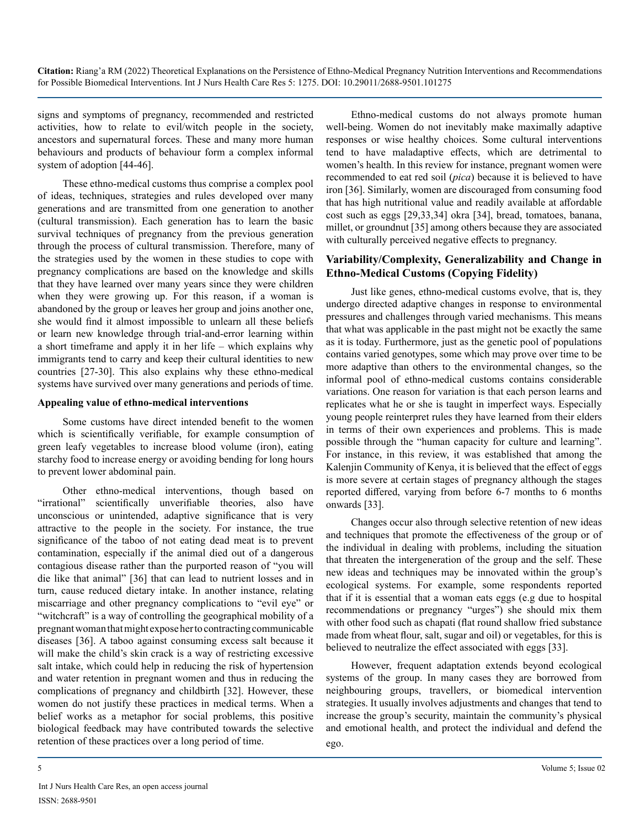signs and symptoms of pregnancy, recommended and restricted activities, how to relate to evil/witch people in the society, ancestors and supernatural forces. These and many more human behaviours and products of behaviour form a complex informal system of adoption [44-46].

These ethno-medical customs thus comprise a complex pool of ideas, techniques, strategies and rules developed over many generations and are transmitted from one generation to another (cultural transmission). Each generation has to learn the basic survival techniques of pregnancy from the previous generation through the process of cultural transmission. Therefore, many of the strategies used by the women in these studies to cope with pregnancy complications are based on the knowledge and skills that they have learned over many years since they were children when they were growing up. For this reason, if a woman is abandoned by the group or leaves her group and joins another one, she would find it almost impossible to unlearn all these beliefs or learn new knowledge through trial-and-error learning within a short timeframe and apply it in her life – which explains why immigrants tend to carry and keep their cultural identities to new countries [27-30]. This also explains why these ethno-medical systems have survived over many generations and periods of time.

#### **Appealing value of ethno-medical interventions**

Some customs have direct intended benefit to the women which is scientifically verifiable, for example consumption of green leafy vegetables to increase blood volume (iron), eating starchy food to increase energy or avoiding bending for long hours to prevent lower abdominal pain.

Other ethno-medical interventions, though based on "irrational" scientifically unverifiable theories, also have unconscious or unintended, adaptive significance that is very attractive to the people in the society. For instance, the true significance of the taboo of not eating dead meat is to prevent contamination, especially if the animal died out of a dangerous contagious disease rather than the purported reason of "you will die like that animal" [36] that can lead to nutrient losses and in turn, cause reduced dietary intake. In another instance, relating miscarriage and other pregnancy complications to "evil eye" or "witchcraft" is a way of controlling the geographical mobility of a pregnant woman that might expose her to contracting communicable diseases [36]. A taboo against consuming excess salt because it will make the child's skin crack is a way of restricting excessive salt intake, which could help in reducing the risk of hypertension and water retention in pregnant women and thus in reducing the complications of pregnancy and childbirth [32]. However, these women do not justify these practices in medical terms. When a belief works as a metaphor for social problems, this positive biological feedback may have contributed towards the selective retention of these practices over a long period of time.

Ethno-medical customs do not always promote human well-being. Women do not inevitably make maximally adaptive responses or wise healthy choices. Some cultural interventions tend to have maladaptive effects, which are detrimental to women's health. In this review for instance, pregnant women were recommended to eat red soil (*pica*) because it is believed to have iron [36]. Similarly, women are discouraged from consuming food that has high nutritional value and readily available at affordable cost such as eggs [29,33,34] okra [34], bread, tomatoes, banana, millet, or groundnut [35] among others because they are associated with culturally perceived negative effects to pregnancy.

### **Variability/Complexity, Generalizability and Change in Ethno-Medical Customs (Copying Fidelity)**

Just like genes, ethno-medical customs evolve, that is, they undergo directed adaptive changes in response to environmental pressures and challenges through varied mechanisms. This means that what was applicable in the past might not be exactly the same as it is today. Furthermore, just as the genetic pool of populations contains varied genotypes, some which may prove over time to be more adaptive than others to the environmental changes, so the informal pool of ethno-medical customs contains considerable variations. One reason for variation is that each person learns and replicates what he or she is taught in imperfect ways. Especially young people reinterpret rules they have learned from their elders in terms of their own experiences and problems. This is made possible through the "human capacity for culture and learning". For instance, in this review, it was established that among the Kalenjin Community of Kenya, it is believed that the effect of eggs is more severe at certain stages of pregnancy although the stages reported differed, varying from before 6-7 months to 6 months onwards [33].

Changes occur also through selective retention of new ideas and techniques that promote the effectiveness of the group or of the individual in dealing with problems, including the situation that threaten the intergeneration of the group and the self. These new ideas and techniques may be innovated within the group's ecological systems. For example, some respondents reported that if it is essential that a woman eats eggs (e.g due to hospital recommendations or pregnancy "urges") she should mix them with other food such as chapati (flat round shallow fried substance made from wheat flour, salt, sugar and oil) or vegetables, for this is believed to neutralize the effect associated with eggs [33].

However, frequent adaptation extends beyond ecological systems of the group. In many cases they are borrowed from neighbouring groups, travellers, or biomedical intervention strategies. It usually involves adjustments and changes that tend to increase the group's security, maintain the community's physical and emotional health, and protect the individual and defend the ego.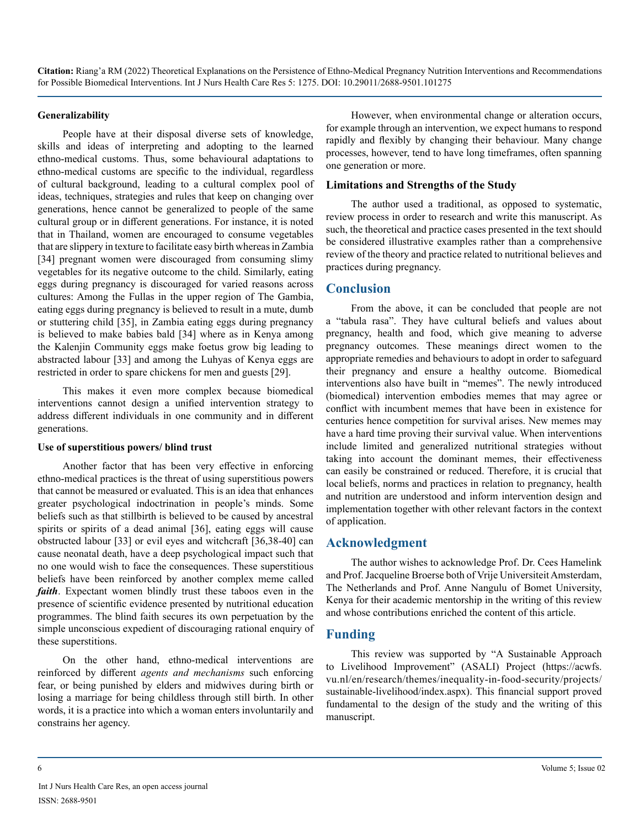#### **Generalizability**

People have at their disposal diverse sets of knowledge, skills and ideas of interpreting and adopting to the learned ethno-medical customs. Thus, some behavioural adaptations to ethno-medical customs are specific to the individual, regardless of cultural background, leading to a cultural complex pool of ideas, techniques, strategies and rules that keep on changing over generations, hence cannot be generalized to people of the same cultural group or in different generations. For instance, it is noted that in Thailand, women are encouraged to consume vegetables that are slippery in texture to facilitate easy birth whereas in Zambia [34] pregnant women were discouraged from consuming slimy vegetables for its negative outcome to the child. Similarly, eating eggs during pregnancy is discouraged for varied reasons across cultures: Among the Fullas in the upper region of The Gambia, eating eggs during pregnancy is believed to result in a mute, dumb or stuttering child [35], in Zambia eating eggs during pregnancy is believed to make babies bald [34] where as in Kenya among the Kalenjin Community eggs make foetus grow big leading to abstracted labour [33] and among the Luhyas of Kenya eggs are restricted in order to spare chickens for men and guests [29].

This makes it even more complex because biomedical interventions cannot design a unified intervention strategy to address different individuals in one community and in different generations.

#### **Use of superstitious powers/ blind trust**

Another factor that has been very effective in enforcing ethno-medical practices is the threat of using superstitious powers that cannot be measured or evaluated. This is an idea that enhances greater psychological indoctrination in people's minds. Some beliefs such as that stillbirth is believed to be caused by ancestral spirits or spirits of a dead animal [36], eating eggs will cause obstructed labour [33] or evil eyes and witchcraft [36,38-40] can cause neonatal death, have a deep psychological impact such that no one would wish to face the consequences. These superstitious beliefs have been reinforced by another complex meme called *faith*. Expectant women blindly trust these taboos even in the presence of scientific evidence presented by nutritional education programmes. The blind faith secures its own perpetuation by the simple unconscious expedient of discouraging rational enquiry of these superstitions.

On the other hand, ethno-medical interventions are reinforced by different *agents and mechanisms* such enforcing fear, or being punished by elders and midwives during birth or losing a marriage for being childless through still birth. In other words, it is a practice into which a woman enters involuntarily and constrains her agency.

However, when environmental change or alteration occurs, for example through an intervention, we expect humans to respond rapidly and flexibly by changing their behaviour. Many change processes, however, tend to have long timeframes, often spanning one generation or more.

#### **Limitations and Strengths of the Study**

The author used a traditional, as opposed to systematic, review process in order to research and write this manuscript. As such, the theoretical and practice cases presented in the text should be considered illustrative examples rather than a comprehensive review of the theory and practice related to nutritional believes and practices during pregnancy.

## **Conclusion**

From the above, it can be concluded that people are not a "tabula rasa". They have cultural beliefs and values about pregnancy, health and food, which give meaning to adverse pregnancy outcomes. These meanings direct women to the appropriate remedies and behaviours to adopt in order to safeguard their pregnancy and ensure a healthy outcome. Biomedical interventions also have built in "memes". The newly introduced (biomedical) intervention embodies memes that may agree or conflict with incumbent memes that have been in existence for centuries hence competition for survival arises. New memes may have a hard time proving their survival value. When interventions include limited and generalized nutritional strategies without taking into account the dominant memes, their effectiveness can easily be constrained or reduced. Therefore, it is crucial that local beliefs, norms and practices in relation to pregnancy, health and nutrition are understood and inform intervention design and implementation together with other relevant factors in the context of application.

#### **Acknowledgment**

The author wishes to acknowledge Prof. Dr. Cees Hamelink and Prof. Jacqueline Broerse both of Vrije Universiteit Amsterdam, The Netherlands and Prof. Anne Nangulu of Bomet University, Kenya for their academic mentorship in the writing of this review and whose contributions enriched the content of this article.

# **Funding**

This review was supported by "A Sustainable Approach to Livelihood Improvement" (ASALI) Project (https://acwfs. vu.nl/en/research/themes/inequality-in-food-security/projects/ sustainable-livelihood/index.aspx). This financial support proved fundamental to the design of the study and the writing of this manuscript.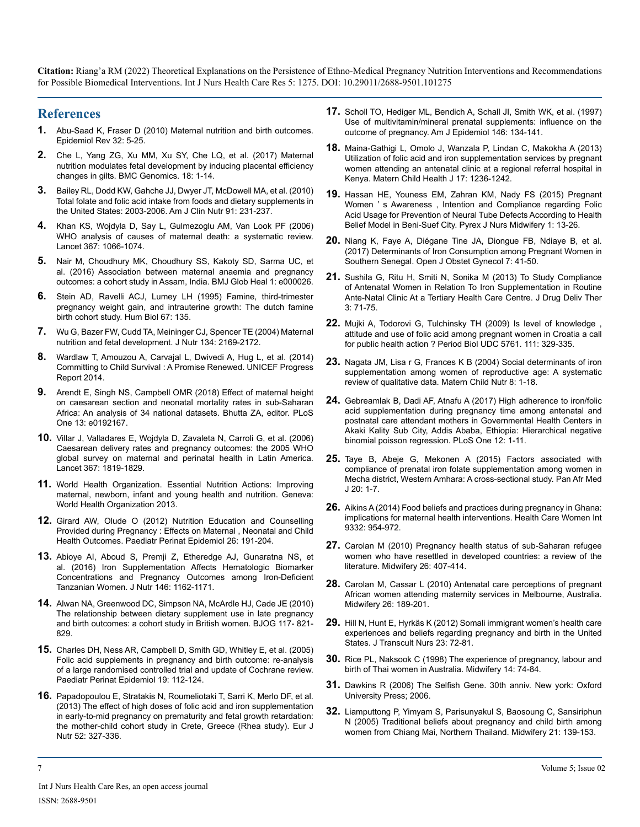## **References**

- **1.** [Abu-Saad K, Fraser D \(2010\) Maternal nutrition and birth outcomes.](https://pubmed.ncbi.nlm.nih.gov/20237078/) [Epidemiol Rev 32: 5-25.](https://pubmed.ncbi.nlm.nih.gov/20237078/)
- **2.** [Che L, Yang ZG, Xu MM, Xu SY, Che LQ, et al. \(2017\) Maternal](https://europepmc.org/article/MED/28245787) [nutrition modulates fetal development by inducing placental efficiency](https://europepmc.org/article/MED/28245787)  [changes in gilts. BMC Genomics. 18: 1-14.](https://europepmc.org/article/MED/28245787)
- **3.** [Bailey RL, Dodd KW, Gahche JJ, Dwyer JT, McDowell MA, et al. \(2010\)](https://pubmed.ncbi.nlm.nih.gov/19923379/)  [Total folate and folic acid intake from foods and dietary supplements in](https://pubmed.ncbi.nlm.nih.gov/19923379/) [the United States: 2003-2006. Am J Clin Nutr 91: 231-237.](https://pubmed.ncbi.nlm.nih.gov/19923379/)
- **4.** [Khan KS, Wojdyla D, Say L, Gulmezoglu AM, Van Look PF \(2006\)](https://pubmed.ncbi.nlm.nih.gov/16581405/) [WHO analysis of causes of maternal death: a systematic review.](https://pubmed.ncbi.nlm.nih.gov/16581405/) [Lancet 367: 1066-1074.](https://pubmed.ncbi.nlm.nih.gov/16581405/)
- **5.** [Nair M, Choudhury MK, Choudhury SS, Kakoty SD, Sarma UC, et](https://gh.bmj.com/content/1/1/e000026) [al. \(2016\) Association between maternal anaemia and pregnancy](https://gh.bmj.com/content/1/1/e000026)  [outcomes: a cohort study in Assam, India. BMJ Glob Heal 1: e000026.](https://gh.bmj.com/content/1/1/e000026)
- **6.** [Stein AD, Ravelli ACJ, Lumey LH \(1995\) Famine, third-trimester](https://pubmed.ncbi.nlm.nih.gov/7721275/)  [pregnancy weight gain, and intrauterine growth: The dutch famine](https://pubmed.ncbi.nlm.nih.gov/7721275/)  [birth cohort study. Hum Biol 67: 135.](https://pubmed.ncbi.nlm.nih.gov/7721275/)
- **7.** [Wu G, Bazer FW, Cudd TA, Meininger CJ, Spencer TE \(2004\) Maternal](https://pubmed.ncbi.nlm.nih.gov/15333699/)  [nutrition and fetal development. J Nutr 134: 2169-2172.](https://pubmed.ncbi.nlm.nih.gov/15333699/)
- **8.** [Wardlaw T, Amouzou A, Carvajal L, Dwivedi A, Hug L, et al. \(2014\)](https://www.unicef.org/reports/committing-child-survival-promise-renewed)  Committing to Child Survival [: A Promise Renewed. UNICEF Progress](https://www.unicef.org/reports/committing-child-survival-promise-renewed)  [Report 2014.](https://www.unicef.org/reports/committing-child-survival-promise-renewed)
- **9.** [Arendt E, Singh NS, Campbell OMR \(2018\) Effect of maternal height](https://pubmed.ncbi.nlm.nih.gov/29408912/)  [on caesarean section and neonatal mortality rates in sub-Saharan](https://pubmed.ncbi.nlm.nih.gov/29408912/)  [Africa: An analysis of 34 national datasets. Bhutta ZA, editor. PLoS](https://pubmed.ncbi.nlm.nih.gov/29408912/)  [One 13: e0192167.](https://pubmed.ncbi.nlm.nih.gov/29408912/)
- **10.** [Villar J, Valladares E, Wojdyla D, Zavaleta N, Carroli G, et al. \(2006\)](https://pubmed.ncbi.nlm.nih.gov/16753484/)  [Caesarean delivery rates and pregnancy outcomes: the 2005 WHO](https://pubmed.ncbi.nlm.nih.gov/16753484/)  [global survey on maternal and perinatal health in Latin America.](https://pubmed.ncbi.nlm.nih.gov/16753484/)  [Lancet 367: 1819-1829.](https://pubmed.ncbi.nlm.nih.gov/16753484/)
- **11.** [World Health Organization. Essential Nutrition Actions: Improving](https://apps.who.int/iris/handle/10665/84409)  [maternal, newborn, infant and young health and nutrition. Geneva:](https://apps.who.int/iris/handle/10665/84409)  [World Health Organization 2013.](https://apps.who.int/iris/handle/10665/84409)
- **12.** [Girard AW, Olude O \(2012\) Nutrition Education and Counselling](https://pubmed.ncbi.nlm.nih.gov/22742611/)  Provided during Pregnancy [: Effects on Maternal , Neonatal and Child](https://pubmed.ncbi.nlm.nih.gov/22742611/)  [Health Outcomes. Paediatr Perinat Epidemiol 26: 191-204.](https://pubmed.ncbi.nlm.nih.gov/22742611/)
- **13.** [Abioye AI, Aboud S, Premji Z, Etheredge AJ, Gunaratna NS, et](https://www.ncbi.nlm.nih.gov/labs/pmc/articles/PMC4877628/)  [al. \(2016\) Iron Supplementation Affects Hematologic Biomarker](https://www.ncbi.nlm.nih.gov/labs/pmc/articles/PMC4877628/)  [Concentrations and Pregnancy Outcomes among Iron-Deficient](https://www.ncbi.nlm.nih.gov/labs/pmc/articles/PMC4877628/)  [Tanzanian Women. J Nutr 146: 1162-1171.](https://www.ncbi.nlm.nih.gov/labs/pmc/articles/PMC4877628/)
- **14.** [Alwan NA, Greenwood DC, Simpson NA, McArdle HJ, Cade JE \(2010\)](https://pubmed.ncbi.nlm.nih.gov/20353456/)  [The relationship between dietary supplement use in late pregnancy](https://pubmed.ncbi.nlm.nih.gov/20353456/)  [and birth outcomes: a cohort study in British women. BJOG 117- 821-](https://pubmed.ncbi.nlm.nih.gov/20353456/) [829.](https://pubmed.ncbi.nlm.nih.gov/20353456/)
- **15.** [Charles DH, Ness AR, Campbell D, Smith GD, Whitley E, et al. \(2005\)](https://pubmed.ncbi.nlm.nih.gov/15787886/) [Folic acid supplements in pregnancy and birth outcome: re-analysis](https://pubmed.ncbi.nlm.nih.gov/15787886/)  [of a large randomised controlled trial and update of Cochrane review.](https://pubmed.ncbi.nlm.nih.gov/15787886/) [Paediatr Perinat Epidemiol 19: 112-124.](https://pubmed.ncbi.nlm.nih.gov/15787886/)
- **16.** [Papadopoulou E, Stratakis N, Roumeliotaki T, Sarri K, Merlo DF, et al.](https://pubmed.ncbi.nlm.nih.gov/22430980/) [\(2013\) The effect of high doses of folic acid and iron supplementation](https://pubmed.ncbi.nlm.nih.gov/22430980/)  [in early-to-mid pregnancy on prematurity and fetal growth retardation:](https://pubmed.ncbi.nlm.nih.gov/22430980/) [the mother-child cohort study in Crete, Greece \(Rhea study\). Eur J](https://pubmed.ncbi.nlm.nih.gov/22430980/) [Nutr 52: 327-336.](https://pubmed.ncbi.nlm.nih.gov/22430980/)
- **17.** [Scholl TO, Hediger ML, Bendich A, Schall JI, Smith WK, et al. \(1997\)](https://doi.org/10.1093/oxfordjournals.aje.a009244) [Use of multivitamin/mineral prenatal supplements: influence on the](https://doi.org/10.1093/oxfordjournals.aje.a009244)  [outcome of pregnancy. Am J Epidemiol 146: 134-141.](https://doi.org/10.1093/oxfordjournals.aje.a009244)
- **18.** [Maina-Gathigi L, Omolo J, Wanzala P, Lindan C, Makokha A \(2013\)](https://pubmed.ncbi.nlm.nih.gov/22907273/)  [Utilization of folic acid and iron supplementation services by pregnant](https://pubmed.ncbi.nlm.nih.gov/22907273/)  [women attending an antenatal clinic at a regional referral hospital in](https://pubmed.ncbi.nlm.nih.gov/22907273/)  [Kenya. Matern Child Health J 17: 1236-1242.](https://pubmed.ncbi.nlm.nih.gov/22907273/)
- **19.** [Hassan HE, Youness EM, Zahran KM, Nady FS \(2015\) Pregnant](https://www.researchgate.net/publication/316392745_Pregnant_Women%27s_Awareness_Intention_and_Compliance_regarding_Folic_Acid_Usage_for_Prevention_of_Neural_Tube_Defects_According_to_Health_Belief_Model_in_Beni-Suef_City)  [Women ' s Awareness , Intention and Compliance regarding Folic](https://www.researchgate.net/publication/316392745_Pregnant_Women%27s_Awareness_Intention_and_Compliance_regarding_Folic_Acid_Usage_for_Prevention_of_Neural_Tube_Defects_According_to_Health_Belief_Model_in_Beni-Suef_City)  [Acid Usage for Prevention of Neural Tube Defects According to Health](https://www.researchgate.net/publication/316392745_Pregnant_Women%27s_Awareness_Intention_and_Compliance_regarding_Folic_Acid_Usage_for_Prevention_of_Neural_Tube_Defects_According_to_Health_Belief_Model_in_Beni-Suef_City)  [Belief Model in Beni-Suef City. Pyrex J Nurs Midwifery 1: 13-26.](https://www.researchgate.net/publication/316392745_Pregnant_Women%27s_Awareness_Intention_and_Compliance_regarding_Folic_Acid_Usage_for_Prevention_of_Neural_Tube_Defects_According_to_Health_Belief_Model_in_Beni-Suef_City)
- **20.** [Niang K, Faye A, Diégane Tine JA, Diongue FB, Ndiaye B, et al.](https://www.scirp.org/journal/paperinformation.aspx?paperid=73237)  [\(2017\) Determinants of Iron Consumption among Pregnant Women in](https://www.scirp.org/journal/paperinformation.aspx?paperid=73237)  [Southern Senegal. Open J Obstet Gynecol 7: 41-50.](https://www.scirp.org/journal/paperinformation.aspx?paperid=73237)
- **21.** [Sushila G, Ritu H, Smiti N, Sonika M \(2013\) To Study Compliance](http://jddtonline.info/index.php/jddt/article/view/520)  [of Antenatal Women in Relation To Iron Supplementation in Routine](http://jddtonline.info/index.php/jddt/article/view/520) [Ante-Natal Clinic At a Tertiary Health Care Centre. J Drug Deliv Ther](http://jddtonline.info/index.php/jddt/article/view/520)  [3: 71-75.](http://jddtonline.info/index.php/jddt/article/view/520)
- **22.** [Mujki A, Todorovi G, Tulchinsky TH \(2009\) Is level of knowledge ,](https://hrcak.srce.hr/file/67667) [attitude and use of folic acid among pregnant women in Croatia a call](https://hrcak.srce.hr/file/67667)  for public health action [? Period Biol UDC 5761. 111: 329-335.](https://hrcak.srce.hr/file/67667)
- **23.** [Nagata JM, Lisa r G, Frances K B \(2004\) Social determinants of iron](https://pubmed.ncbi.nlm.nih.gov/21978181/)  [supplementation among women of reproductive age: A systematic](https://pubmed.ncbi.nlm.nih.gov/21978181/) [review of qualitative data. Matern Child Nutr 8: 1-18.](https://pubmed.ncbi.nlm.nih.gov/21978181/)
- **24.** [Gebreamlak B, Dadi AF, Atnafu A \(2017\) High adherence to iron/folic](https://pubmed.ncbi.nlm.nih.gov/28129344/)  [acid supplementation during pregnancy time among antenatal and](https://pubmed.ncbi.nlm.nih.gov/28129344/)  [postnatal care attendant mothers in Governmental Health Centers in](https://pubmed.ncbi.nlm.nih.gov/28129344/)  .<br>Akaki Kality Sub City, Addis Ababa, Ethiopia: Hierarchical negative [binomial poisson regression. PLoS One 12: 1-11.](https://pubmed.ncbi.nlm.nih.gov/28129344/)
- **25.** [Taye B, Abeje G, Mekonen A \(2015\) Factors associated with](https://pubmed.ncbi.nlm.nih.gov/26090001/) [compliance of prenatal iron folate supplementation among women in](https://pubmed.ncbi.nlm.nih.gov/26090001/)  [Mecha district, Western Amhara: A cross-sectional study. Pan Afr Med](https://pubmed.ncbi.nlm.nih.gov/26090001/)  [J 20: 1-7.](https://pubmed.ncbi.nlm.nih.gov/26090001/)
- **26.** [Aikins A \(2014\) Food beliefs and practices during pregnancy in Ghana:](https://www.tandfonline.com/doi/abs/10.1080/07399332.2014.926902?journalCode=uhcw20)  [implications for maternal health interventions. Health Care Women Int](https://www.tandfonline.com/doi/abs/10.1080/07399332.2014.926902?journalCode=uhcw20)  [9332: 954-972.](https://www.tandfonline.com/doi/abs/10.1080/07399332.2014.926902?journalCode=uhcw20)
- **27.** [Carolan M \(2010\) Pregnancy health status of sub-Saharan refugee](https://pubmed.ncbi.nlm.nih.gov/19121552/)  [women who have resettled in developed countries: a review of the](https://pubmed.ncbi.nlm.nih.gov/19121552/)  [literature. Midwifery 26: 407-414.](https://pubmed.ncbi.nlm.nih.gov/19121552/)
- **28.** [Carolan M, Cassar L \(2010\) Antenatal care perceptions of pregnant](https://pubmed.ncbi.nlm.nih.gov/18653262/)  [African women attending maternity services in Melbourne, Australia.](https://pubmed.ncbi.nlm.nih.gov/18653262/)  [Midwifery 26: 189-201.](https://pubmed.ncbi.nlm.nih.gov/18653262/)
- **29.** [Hill N, Hunt E, Hyrkäs K \(2012\) Somali immigrant women's health care](https://pubmed.ncbi.nlm.nih.gov/22052095/) [experiences and beliefs regarding pregnancy and birth in the United](https://pubmed.ncbi.nlm.nih.gov/22052095/)  [States. J Transcult Nurs 23: 72-81.](https://pubmed.ncbi.nlm.nih.gov/22052095/)
- **30.** [Rice PL, Naksook C \(1998\) The experience of pregnancy, labour and](https://pubmed.ncbi.nlm.nih.gov/10382475/)  [birth of Thai women in Australia. Midwifery 14: 74-84.](https://pubmed.ncbi.nlm.nih.gov/10382475/)
- **31.** Dawkins R (2006) The Selfish Gene. 30th anniv. New york: Oxford University Press; 2006.
- **32.** [Liamputtong P, Yimyam S, Parisunyakul S, Baosoung C, Sansiriphun](https://pubmed.ncbi.nlm.nih.gov/15878429/)  [N \(2005\) Traditional beliefs about pregnancy and child birth among](https://pubmed.ncbi.nlm.nih.gov/15878429/)  [women from Chiang Mai, Northern Thailand. Midwifery 21: 139-153.](https://pubmed.ncbi.nlm.nih.gov/15878429/)